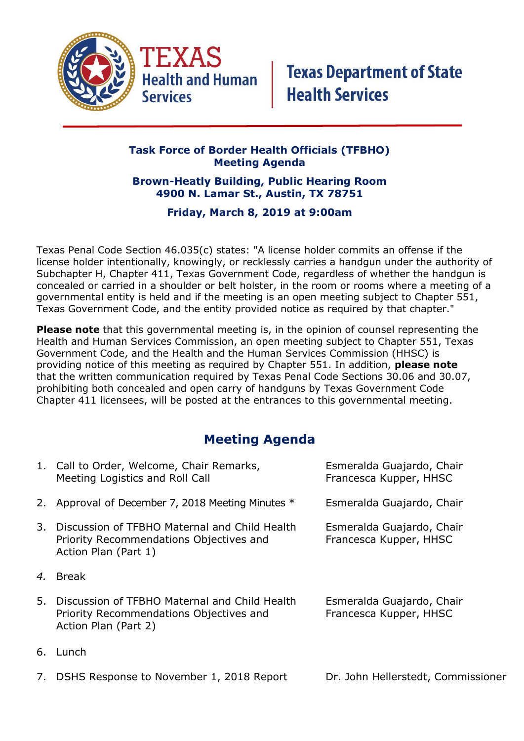

## **Task Force of Border Health Officials (TFBHO) Meeting Agenda**

## **Brown-Heatly Building, Public Hearing Room 4900 N. Lamar St., Austin, TX 78751**

## **Friday, March 8, 2019 at 9:00am**

Texas Penal Code Section 46.035(c) states: "A license holder commits an offense if the license holder intentionally, knowingly, or recklessly carries a handgun under the authority of Subchapter H, Chapter 411, Texas Government Code, regardless of whether the handgun is concealed or carried in a shoulder or belt holster, in the room or rooms where a meeting of a governmental entity is held and if the meeting is an open meeting subject to Chapter 551, Texas Government Code, and the entity provided notice as required by that chapter."

**Please note** that this governmental meeting is, in the opinion of counsel representing the Health and Human Services Commission, an open meeting subject to Chapter 551, Texas Government Code, and the Health and the Human Services Commission (HHSC) is providing notice of this meeting as required by Chapter 551. In addition, **please note**  that the written communication required by Texas Penal Code Sections 30.06 and 30.07, prohibiting both concealed and open carry of handguns by Texas Government Code Chapter 411 licensees, will be posted at the entrances to this governmental meeting.

## **Meeting Agenda**

| 1. Call to Order, Welcome, Chair Remarks,<br>Meeting Logistics and Roll Call                                     | Esmeralda Guajardo, Chair<br>Francesca Kupper, HHSC |
|------------------------------------------------------------------------------------------------------------------|-----------------------------------------------------|
| 2. Approval of December 7, 2018 Meeting Minutes *                                                                | Esmeralda Guajardo, Chair                           |
| Discussion of TFBHO Maternal and Child Health<br>Priority Recommendations Objectives and<br>Action Plan (Part 1) | Esmeralda Guajardo, Chair<br>Francesca Kupper, HHSC |
| <b>Break</b>                                                                                                     |                                                     |
|                                                                                                                  |                                                     |
| Discussion of TFBHO Maternal and Child Health<br>Priority Recommendations Objectives and<br>Action Plan (Part 2) | Esmeralda Guajardo, Chair<br>Francesca Kupper, HHSC |
|                                                                                                                  |                                                     |

7. DSHS Response to November 1, 2018 Report Dr. John Hellerstedt, Commissioner